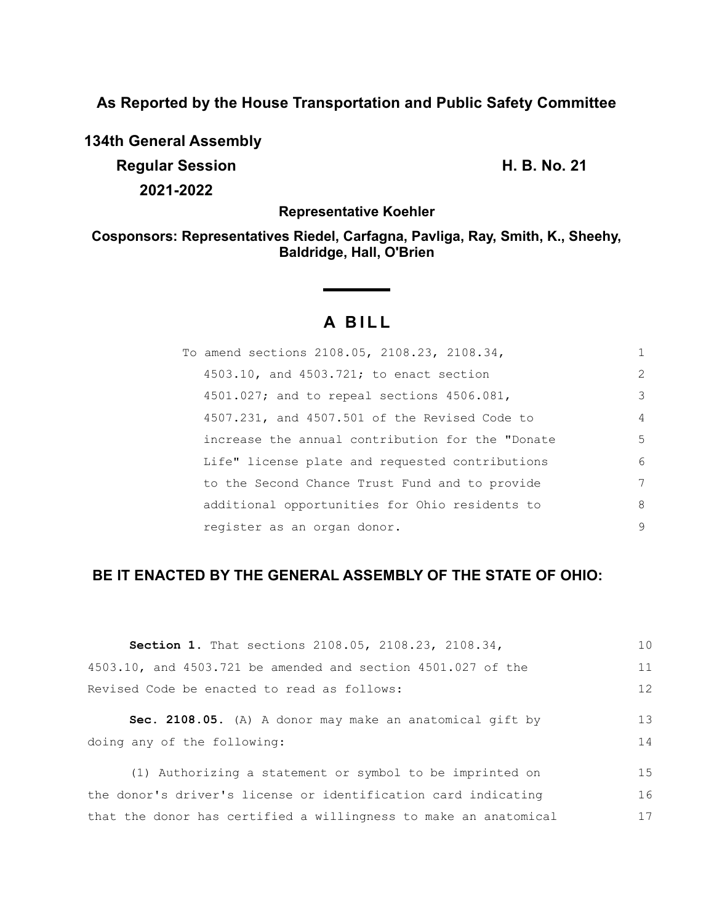**As Reported by the House Transportation and Public Safety Committee**

**134th General Assembly Regular Session H. B. No. 21 2021-2022**

**Representative Koehler**

**Cosponsors: Representatives Riedel, Carfagna, Pavliga, Ray, Smith, K., Sheehy, Baldridge, Hall, O'Brien**

# **A B I L L**

| To amend sections 2108.05, 2108.23, 2108.34,       | 1              |
|----------------------------------------------------|----------------|
| 4503.10, and 4503.721; to enact section            | $\overline{2}$ |
| 4501.027; and to repeal sections 4506.081,         | 3              |
| $4507.231$ , and $4507.501$ of the Revised Code to | $\overline{4}$ |
| increase the annual contribution for the "Donate   | 5              |
| Life" license plate and requested contributions    | 6              |
| to the Second Chance Trust Fund and to provide     | 7              |
| additional opportunities for Ohio residents to     | 8              |
| register as an organ donor.                        | 9              |

## **BE IT ENACTED BY THE GENERAL ASSEMBLY OF THE STATE OF OHIO:**

| <b>Section 1.</b> That sections 2108.05, 2108.23, 2108.34,       | 1 <sub>0</sub> |
|------------------------------------------------------------------|----------------|
| 4503.10, and 4503.721 be amended and section $4501.027$ of the   | 11             |
| Revised Code be enacted to read as follows:                      |                |
| Sec. 2108.05. (A) A donor may make an anatomical gift by         | 13             |
| doing any of the following:                                      | 14             |
| (1) Authorizing a statement or symbol to be imprinted on         | 15             |
| the donor's driver's license or identification card indicating   | 16             |
| that the donor has certified a willingness to make an anatomical | 17             |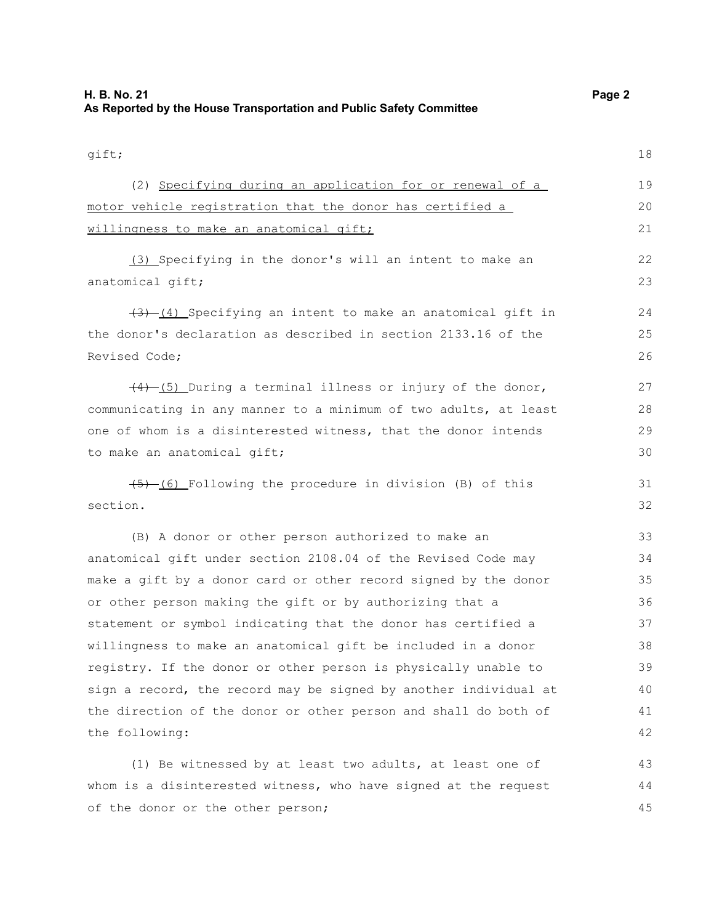gift; (2) Specifying during an application for or renewal of a motor vehicle registration that the donor has certified a willingness to make an anatomical gift; (3) Specifying in the donor's will an intent to make an anatomical gift;  $(3)$  (4) Specifying an intent to make an anatomical gift in the donor's declaration as described in section 2133.16 of the Revised Code;  $(4)$  (5) During a terminal illness or injury of the donor, communicating in any manner to a minimum of two adults, at least one of whom is a disinterested witness, that the donor intends to make an anatomical gift;  $(5)$  (6) Following the procedure in division (B) of this section. (B) A donor or other person authorized to make an anatomical gift under section 2108.04 of the Revised Code may make a gift by a donor card or other record signed by the donor or other person making the gift or by authorizing that a statement or symbol indicating that the donor has certified a willingness to make an anatomical gift be included in a donor registry. If the donor or other person is physically unable to sign a record, the record may be signed by another individual at the direction of the donor or other person and shall do both of the following: (1) Be witnessed by at least two adults, at least one of whom is a disinterested witness, who have signed at the request of the donor or the other person; 18 19 20 21 22 23  $24$ 25 26 27 28 29 30 31 32 33 34 35 36 37 38 39 40 41 42 43 44 45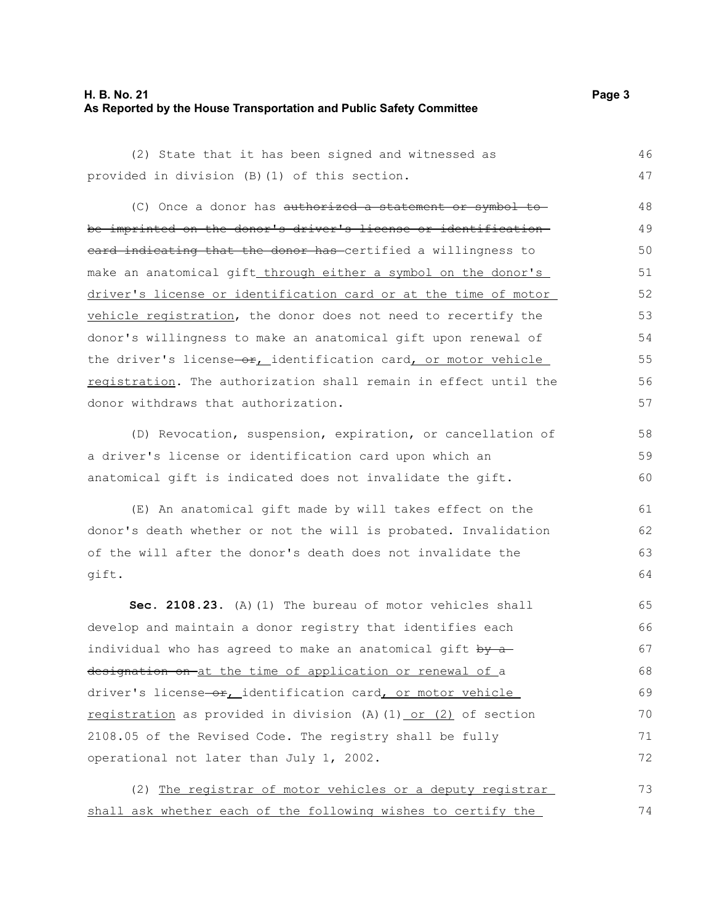#### **H. B. No. 21 Page 3 As Reported by the House Transportation and Public Safety Committee**

(2) State that it has been signed and witnessed as provided in division (B)(1) of this section. 46 47

(C) Once a donor has authorized a statement or symbol to be imprinted on the donor's driver's license or identification eard indicating that the donor has certified a willingness to make an anatomical gift through either a symbol on the donor's driver's license or identification card or at the time of motor vehicle registration, the donor does not need to recertify the donor's willingness to make an anatomical gift upon renewal of the driver's license-or, identification card, or motor vehicle registration. The authorization shall remain in effect until the donor withdraws that authorization. 48 49 50 51 52 53 54 55 56 57

(D) Revocation, suspension, expiration, or cancellation of a driver's license or identification card upon which an anatomical gift is indicated does not invalidate the gift.

(E) An anatomical gift made by will takes effect on the donor's death whether or not the will is probated. Invalidation of the will after the donor's death does not invalidate the gift.

**Sec. 2108.23.** (A)(1) The bureau of motor vehicles shall develop and maintain a donor registry that identifies each individual who has agreed to make an anatomical gift  $by -a$ designation on at the time of application or renewal of a driver's license-or, identification card, or motor vehicle registration as provided in division (A)(1) or (2) of section 2108.05 of the Revised Code. The registry shall be fully operational not later than July 1, 2002. 65 66 67 68 69 70 71 72

(2) The registrar of motor vehicles or a deputy registrar shall ask whether each of the following wishes to certify the 73 74

58 59 60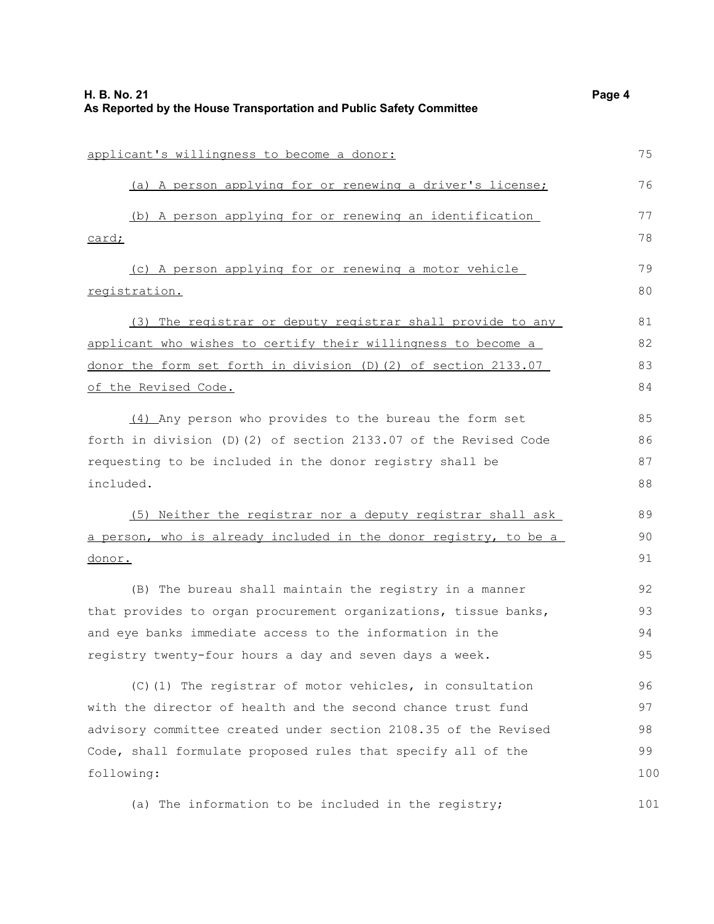| applicant's willingness to become a donor:                       |     |
|------------------------------------------------------------------|-----|
| (a) A person applying for or renewing a driver's license;        | 76  |
| (b) A person applying for or renewing an identification          | 77  |
| card;                                                            | 78  |
| (c) A person applying for or renewing a motor vehicle            | 79  |
| registration.                                                    | 80  |
| (3) The registrar or deputy registrar shall provide to any       | 81  |
| applicant who wishes to certify their willingness to become a    | 82  |
| donor the form set forth in division (D) (2) of section 2133.07  | 83  |
| of the Revised Code.                                             |     |
| (4) Any person who provides to the bureau the form set           | 85  |
| forth in division (D) (2) of section 2133.07 of the Revised Code | 86  |
| requesting to be included in the donor registry shall be         |     |
| included.                                                        | 88  |
| (5) Neither the registrar nor a deputy registrar shall ask       | 89  |
| a person, who is already included in the donor registry, to be a | 90  |
| <u>donor.</u>                                                    | 91  |
| (B) The bureau shall maintain the registry in a manner           | 92  |
| that provides to organ procurement organizations, tissue banks,  | 93  |
| and eye banks immediate access to the information in the         | 94  |
| registry twenty-four hours a day and seven days a week.          | 95  |
| (C)(1) The registrar of motor vehicles, in consultation          | 96  |
| with the director of health and the second chance trust fund     | 97  |
| advisory committee created under section 2108.35 of the Revised  | 98  |
| Code, shall formulate proposed rules that specify all of the     | 99  |
| following:                                                       |     |
| (a) The information to be included in the registry;              | 101 |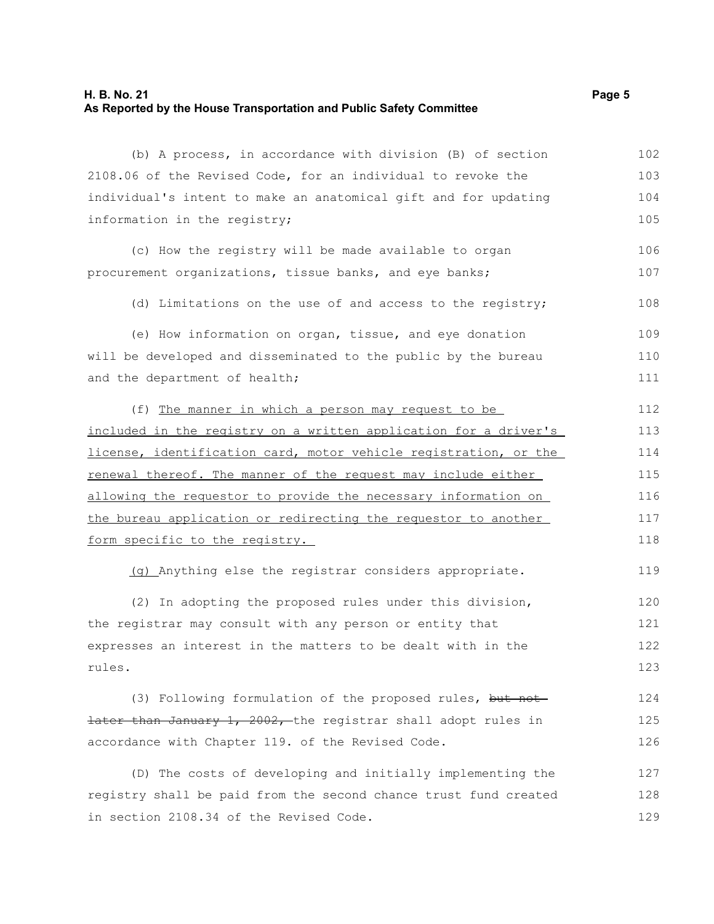#### **H. B. No. 21 Page 5 As Reported by the House Transportation and Public Safety Committee**

(b) A process, in accordance with division (B) of section 2108.06 of the Revised Code, for an individual to revoke the individual's intent to make an anatomical gift and for updating information in the registry; (c) How the registry will be made available to organ procurement organizations, tissue banks, and eye banks; (d) Limitations on the use of and access to the registry; (e) How information on organ, tissue, and eye donation will be developed and disseminated to the public by the bureau and the department of health; (f) The manner in which a person may request to be included in the registry on a written application for a driver's license, identification card, motor vehicle registration, or the renewal thereof. The manner of the request may include either allowing the requestor to provide the necessary information on the bureau application or redirecting the requestor to another form specific to the registry. (g) Anything else the registrar considers appropriate. (2) In adopting the proposed rules under this division, the registrar may consult with any person or entity that expresses an interest in the matters to be dealt with in the rules. (3) Following formulation of the proposed rules, but not later than January 1, 2002, the registrar shall adopt rules in accordance with Chapter 119. of the Revised Code. (D) The costs of developing and initially implementing the 102 103 104 105 106 107 108 109 110 111 112 113 114 115 116 117 118 119 120 121 122 123 124 125 126 127

registry shall be paid from the second chance trust fund created in section 2108.34 of the Revised Code. 128 129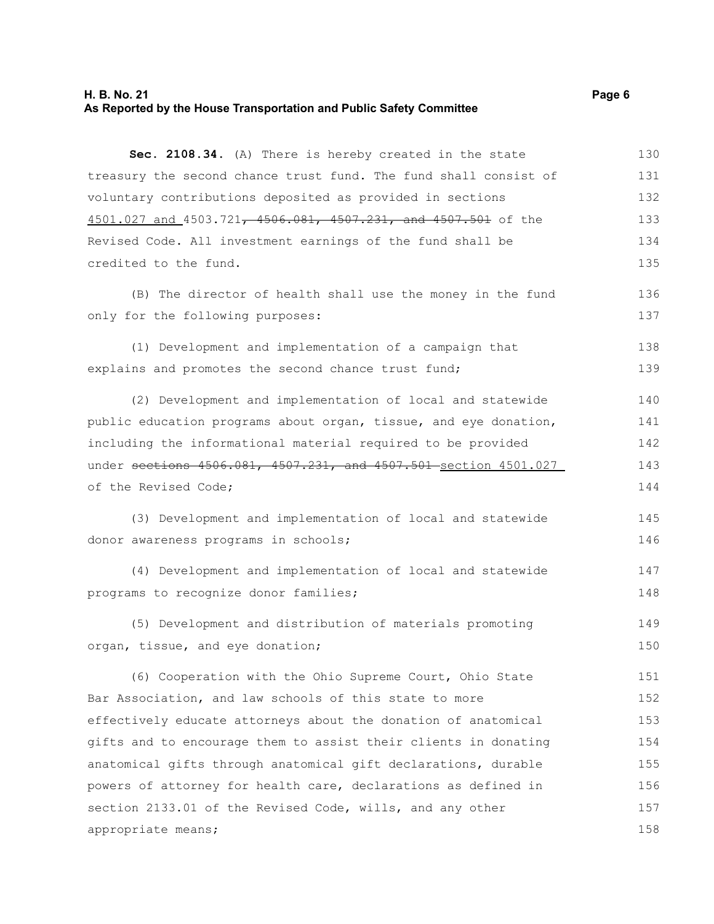#### **H. B. No. 21 Page 6 As Reported by the House Transportation and Public Safety Committee**

**Sec. 2108.34.** (A) There is hereby created in the state treasury the second chance trust fund. The fund shall consist of voluntary contributions deposited as provided in sections 4501.027 and 4503.721, 4506.081, 4507.231, and 4507.501 of the Revised Code. All investment earnings of the fund shall be credited to the fund. 130 131 132 133 134 135

(B) The director of health shall use the money in the fund only for the following purposes:

(1) Development and implementation of a campaign that explains and promotes the second chance trust fund; 138 139

(2) Development and implementation of local and statewide public education programs about organ, tissue, and eye donation, including the informational material required to be provided under sections 4506.081, 4507.231, and 4507.501 section 4501.027 of the Revised Code; 140 141 142 143 144

(3) Development and implementation of local and statewide donor awareness programs in schools; 145 146

(4) Development and implementation of local and statewide programs to recognize donor families; 147 148

(5) Development and distribution of materials promoting organ, tissue, and eye donation; 149 150

(6) Cooperation with the Ohio Supreme Court, Ohio State Bar Association, and law schools of this state to more effectively educate attorneys about the donation of anatomical gifts and to encourage them to assist their clients in donating anatomical gifts through anatomical gift declarations, durable powers of attorney for health care, declarations as defined in section 2133.01 of the Revised Code, wills, and any other appropriate means; 151 152 153 154 155 156 157 158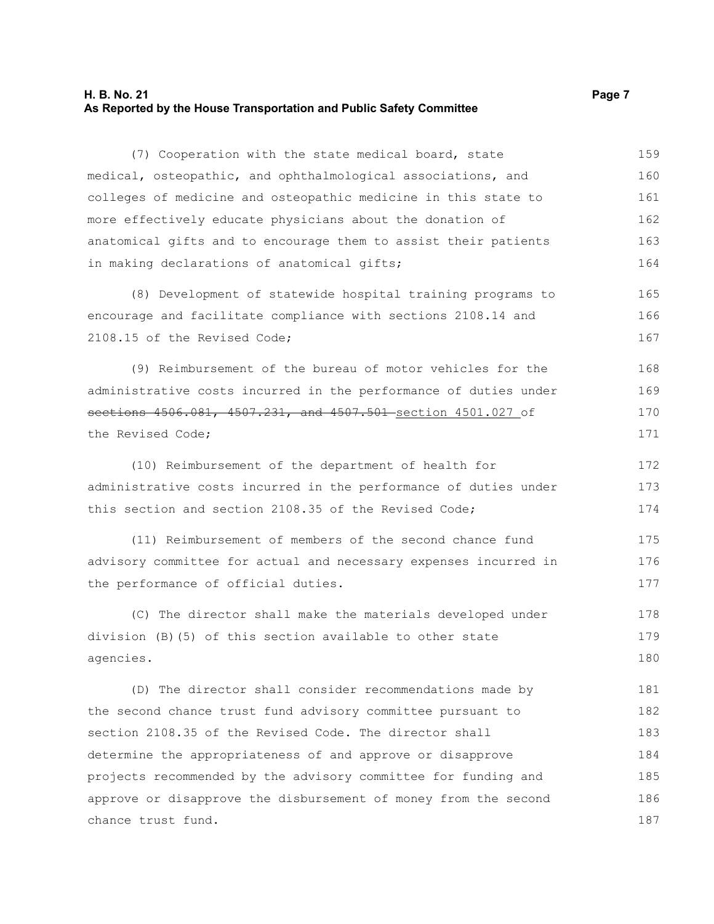#### **H. B. No. 21 Page 7 As Reported by the House Transportation and Public Safety Committee**

(7) Cooperation with the state medical board, state medical, osteopathic, and ophthalmological associations, and colleges of medicine and osteopathic medicine in this state to more effectively educate physicians about the donation of anatomical gifts and to encourage them to assist their patients in making declarations of anatomical gifts; (8) Development of statewide hospital training programs to encourage and facilitate compliance with sections 2108.14 and 2108.15 of the Revised Code; (9) Reimbursement of the bureau of motor vehicles for the administrative costs incurred in the performance of duties under sections 4506.081, 4507.231, and 4507.501 section 4501.027 of the Revised Code; (10) Reimbursement of the department of health for administrative costs incurred in the performance of duties under this section and section 2108.35 of the Revised Code; (11) Reimbursement of members of the second chance fund advisory committee for actual and necessary expenses incurred in the performance of official duties. (C) The director shall make the materials developed under division (B)(5) of this section available to other state agencies. (D) The director shall consider recommendations made by the second chance trust fund advisory committee pursuant to section 2108.35 of the Revised Code. The director shall determine the appropriateness of and approve or disapprove projects recommended by the advisory committee for funding and approve or disapprove the disbursement of money from the second chance trust fund. 159 160 161 162 163 164 165 166 167 168 169 170 171 172 173 174 175 176 177 178 179 180 181 182 183 184 185 186 187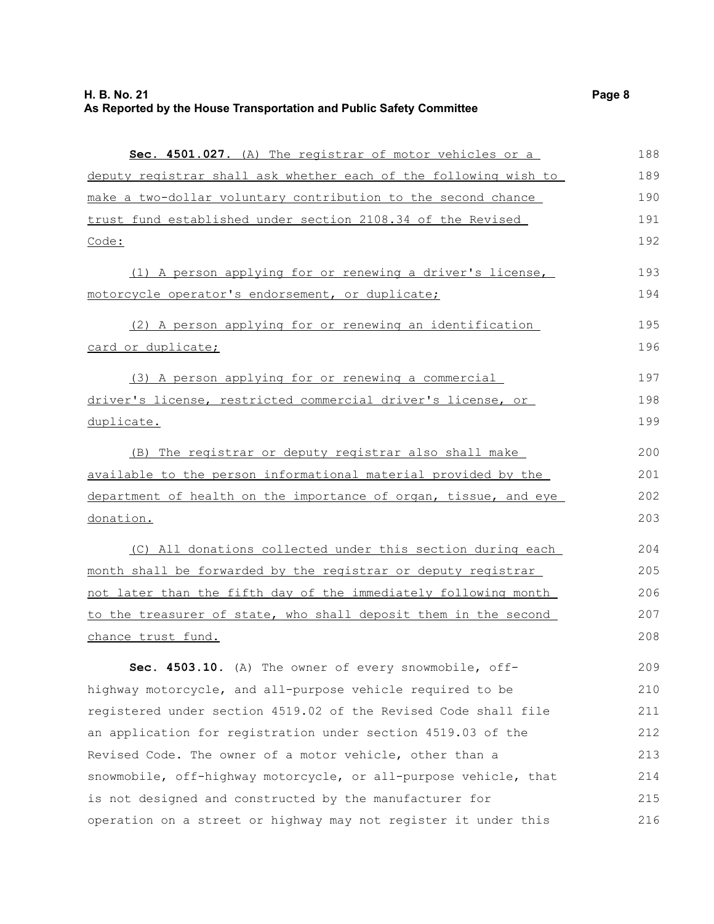| Sec. 4501.027. (A) The registrar of motor vehicles or a          | 188 |
|------------------------------------------------------------------|-----|
| deputy registrar shall ask whether each of the following wish to | 189 |
| make a two-dollar voluntary contribution to the second chance    | 190 |
| trust fund established under section 2108.34 of the Revised      |     |
| Code:                                                            | 192 |
| (1) A person applying for or renewing a driver's license,        | 193 |
| motorcycle operator's endorsement, or duplicate;                 | 194 |
| (2) A person applying for or renewing an identification          | 195 |
| card or duplicate;                                               | 196 |
| (3) A person applying for or renewing a commercial               | 197 |
| driver's license, restricted commercial driver's license, or     | 198 |
| duplicate.                                                       | 199 |
| (B) The registrar or deputy registrar also shall make            | 200 |
| available to the person informational material provided by the   | 201 |
| department of health on the importance of organ, tissue, and eye | 202 |
| donation.                                                        | 203 |
| (C) All donations collected under this section during each       | 204 |
| month shall be forwarded by the registrar or deputy registrar    | 205 |
| not later than the fifth day of the immediately following month  | 206 |
| to the treasurer of state, who shall deposit them in the second  | 207 |
| <u>chance trust fund.</u>                                        | 208 |
| Sec. 4503.10. (A) The owner of every snowmobile, off-            | 209 |
| highway motorcycle, and all-purpose vehicle required to be       | 210 |
| registered under section 4519.02 of the Revised Code shall file  | 211 |
| an application for registration under section 4519.03 of the     | 212 |
| Revised Code. The owner of a motor vehicle, other than a         | 213 |
| snowmobile, off-highway motorcycle, or all-purpose vehicle, that | 214 |
| is not designed and constructed by the manufacturer for          | 215 |
| operation on a street or highway may not register it under this  | 216 |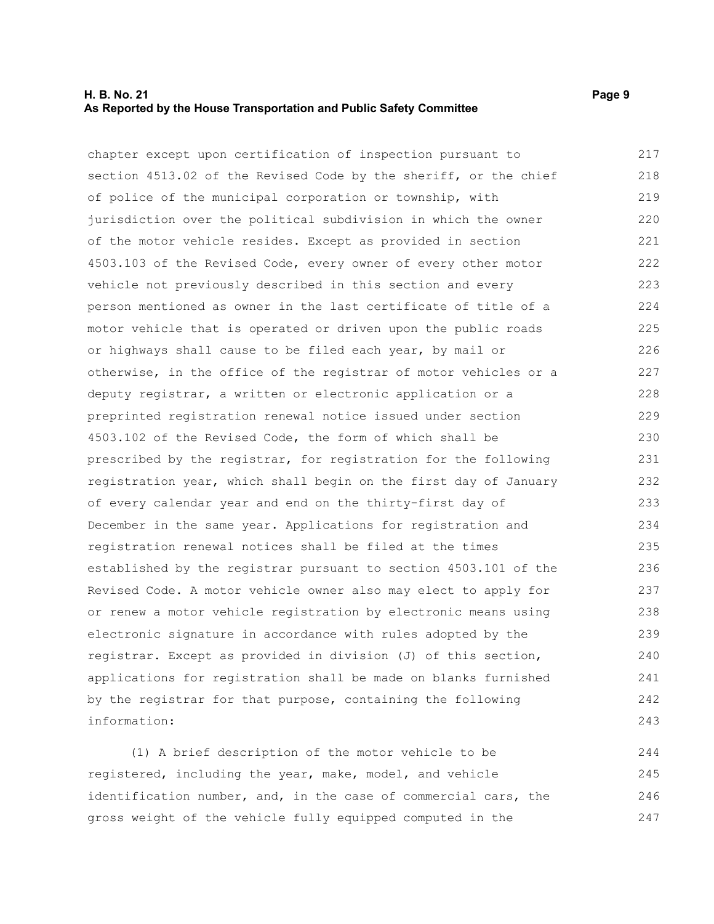#### **H. B. No. 21 Page 9 As Reported by the House Transportation and Public Safety Committee**

chapter except upon certification of inspection pursuant to section 4513.02 of the Revised Code by the sheriff, or the chief of police of the municipal corporation or township, with jurisdiction over the political subdivision in which the owner of the motor vehicle resides. Except as provided in section 4503.103 of the Revised Code, every owner of every other motor vehicle not previously described in this section and every person mentioned as owner in the last certificate of title of a motor vehicle that is operated or driven upon the public roads or highways shall cause to be filed each year, by mail or otherwise, in the office of the registrar of motor vehicles or a deputy registrar, a written or electronic application or a preprinted registration renewal notice issued under section 4503.102 of the Revised Code, the form of which shall be prescribed by the registrar, for registration for the following registration year, which shall begin on the first day of January of every calendar year and end on the thirty-first day of December in the same year. Applications for registration and registration renewal notices shall be filed at the times established by the registrar pursuant to section 4503.101 of the Revised Code. A motor vehicle owner also may elect to apply for or renew a motor vehicle registration by electronic means using electronic signature in accordance with rules adopted by the registrar. Except as provided in division (J) of this section, applications for registration shall be made on blanks furnished by the registrar for that purpose, containing the following information: 217 218 219 220 221 222 223 224 225 226 227 228 229 230 231 232 233 234 235 236 237 238 239 240 241 242 243

(1) A brief description of the motor vehicle to be registered, including the year, make, model, and vehicle identification number, and, in the case of commercial cars, the gross weight of the vehicle fully equipped computed in the 244 245 246 247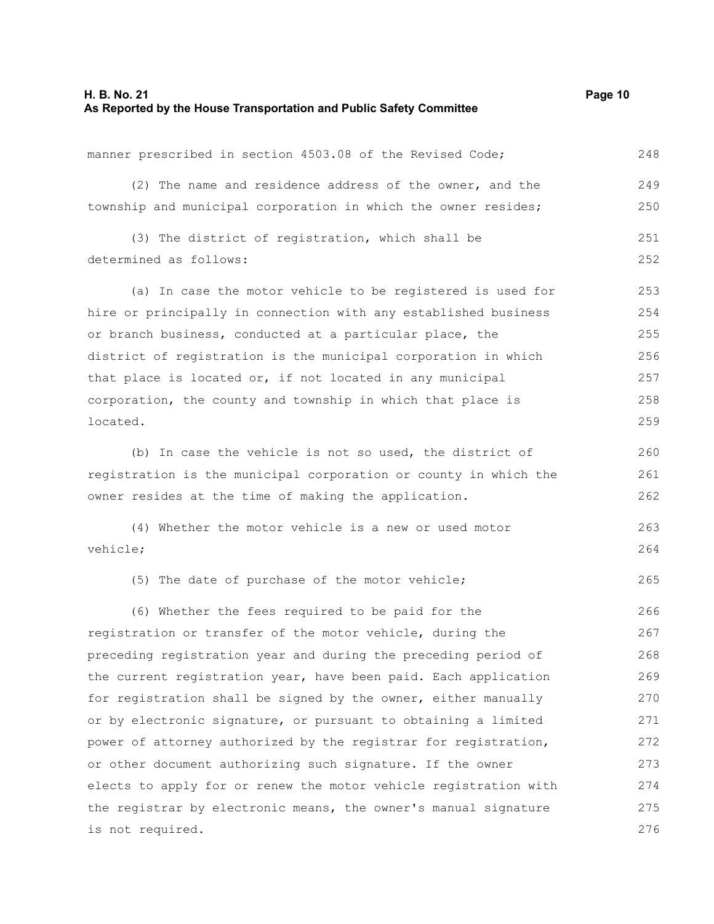determined as follows:

manner prescribed in section 4503.08 of the Revised Code; (2) The name and residence address of the owner, and the township and municipal corporation in which the owner resides; (3) The district of registration, which shall be (a) In case the motor vehicle to be registered is used for 248 249 250 251 252 253

hire or principally in connection with any established business or branch business, conducted at a particular place, the district of registration is the municipal corporation in which that place is located or, if not located in any municipal corporation, the county and township in which that place is located. 254 255 256 257 258 259

(b) In case the vehicle is not so used, the district of registration is the municipal corporation or county in which the owner resides at the time of making the application. 260 261 262

(4) Whether the motor vehicle is a new or used motor vehicle; 263 264

(5) The date of purchase of the motor vehicle;

(6) Whether the fees required to be paid for the registration or transfer of the motor vehicle, during the preceding registration year and during the preceding period of the current registration year, have been paid. Each application for registration shall be signed by the owner, either manually or by electronic signature, or pursuant to obtaining a limited power of attorney authorized by the registrar for registration, or other document authorizing such signature. If the owner elects to apply for or renew the motor vehicle registration with the registrar by electronic means, the owner's manual signature is not required. 266 267 268 269 270 271 272 273 274 275 276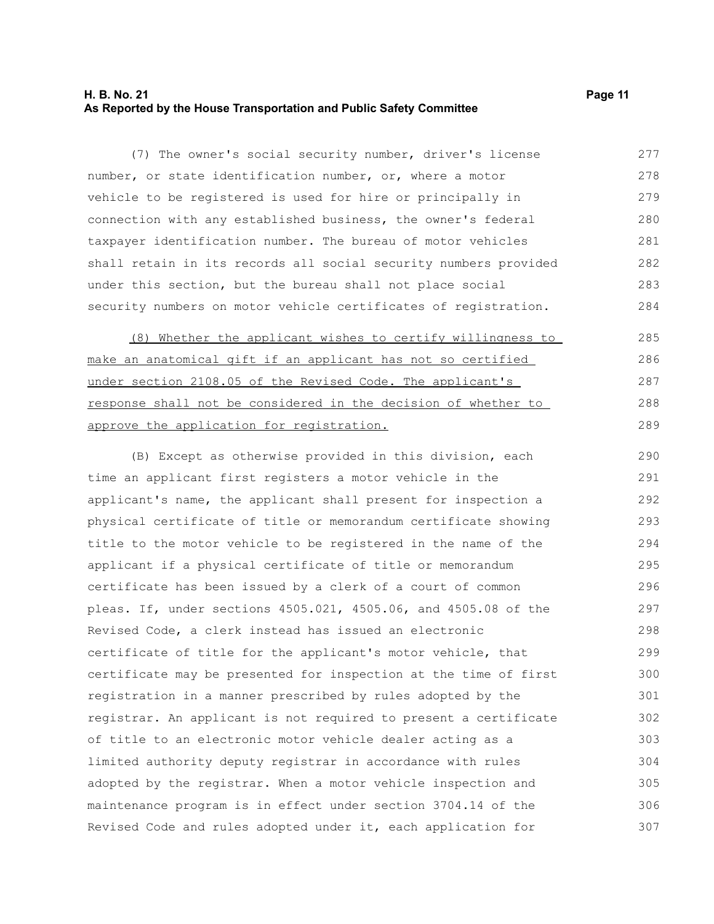#### **H. B. No. 21 Page 11 As Reported by the House Transportation and Public Safety Committee**

(7) The owner's social security number, driver's license number, or state identification number, or, where a motor vehicle to be registered is used for hire or principally in connection with any established business, the owner's federal taxpayer identification number. The bureau of motor vehicles shall retain in its records all social security numbers provided under this section, but the bureau shall not place social security numbers on motor vehicle certificates of registration. 277 278 279 280 281 282 283 284

(8) Whether the applicant wishes to certify willingness to make an anatomical gift if an applicant has not so certified under section 2108.05 of the Revised Code. The applicant's response shall not be considered in the decision of whether to approve the application for registration. 285 286 287 288 289

(B) Except as otherwise provided in this division, each time an applicant first registers a motor vehicle in the applicant's name, the applicant shall present for inspection a physical certificate of title or memorandum certificate showing title to the motor vehicle to be registered in the name of the applicant if a physical certificate of title or memorandum certificate has been issued by a clerk of a court of common pleas. If, under sections 4505.021, 4505.06, and 4505.08 of the Revised Code, a clerk instead has issued an electronic certificate of title for the applicant's motor vehicle, that certificate may be presented for inspection at the time of first registration in a manner prescribed by rules adopted by the registrar. An applicant is not required to present a certificate of title to an electronic motor vehicle dealer acting as a limited authority deputy registrar in accordance with rules adopted by the registrar. When a motor vehicle inspection and maintenance program is in effect under section 3704.14 of the Revised Code and rules adopted under it, each application for 290 291 292 293 294 295 296 297 298 299 300 301 302 303 304 305 306 307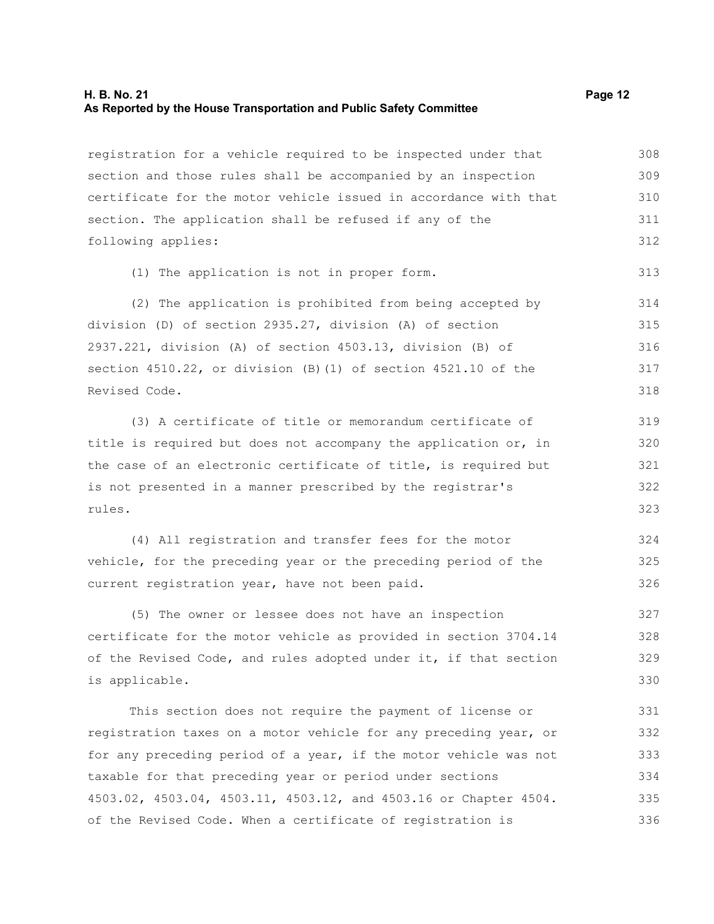#### **H. B. No. 21 Page 12 As Reported by the House Transportation and Public Safety Committee**

registration for a vehicle required to be inspected under that section and those rules shall be accompanied by an inspection certificate for the motor vehicle issued in accordance with that section. The application shall be refused if any of the following applies: 308 309 310 311 312

(1) The application is not in proper form.

(2) The application is prohibited from being accepted by division (D) of section 2935.27, division (A) of section 2937.221, division (A) of section 4503.13, division (B) of section 4510.22, or division (B)(1) of section 4521.10 of the Revised Code. 314 315 316 317 318

(3) A certificate of title or memorandum certificate of title is required but does not accompany the application or, in the case of an electronic certificate of title, is required but is not presented in a manner prescribed by the registrar's rules. 319 320 321 322 323

(4) All registration and transfer fees for the motor vehicle, for the preceding year or the preceding period of the current registration year, have not been paid. 324 325 326

(5) The owner or lessee does not have an inspection certificate for the motor vehicle as provided in section 3704.14 of the Revised Code, and rules adopted under it, if that section is applicable. 327 328 329 330

This section does not require the payment of license or registration taxes on a motor vehicle for any preceding year, or for any preceding period of a year, if the motor vehicle was not taxable for that preceding year or period under sections 4503.02, 4503.04, 4503.11, 4503.12, and 4503.16 or Chapter 4504. of the Revised Code. When a certificate of registration is 331 332 333 334 335 336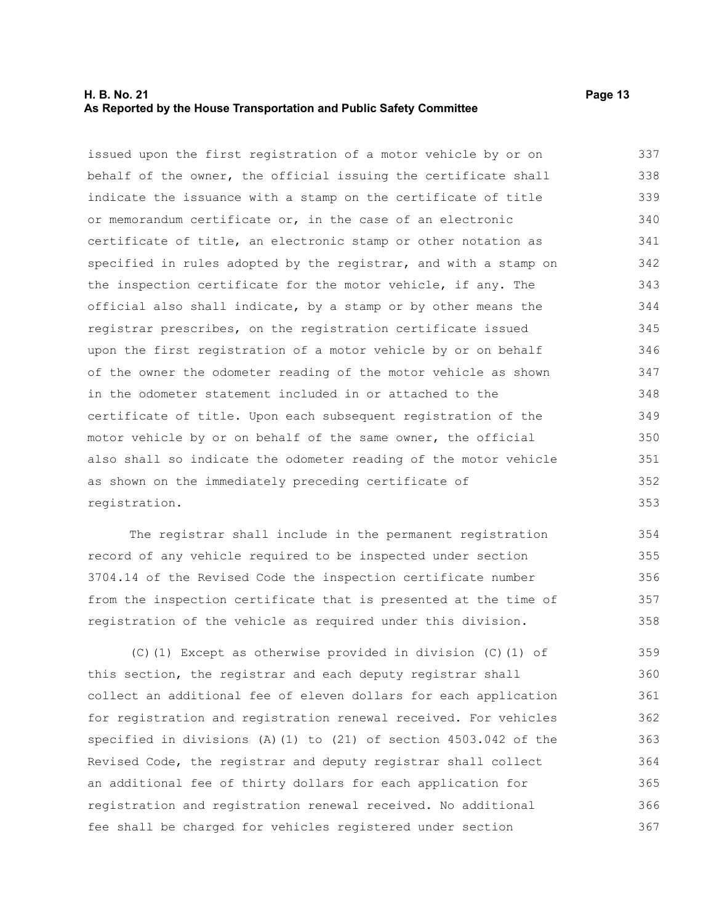#### **H. B. No. 21 Page 13 As Reported by the House Transportation and Public Safety Committee**

issued upon the first registration of a motor vehicle by or on behalf of the owner, the official issuing the certificate shall indicate the issuance with a stamp on the certificate of title or memorandum certificate or, in the case of an electronic certificate of title, an electronic stamp or other notation as specified in rules adopted by the registrar, and with a stamp on the inspection certificate for the motor vehicle, if any. The official also shall indicate, by a stamp or by other means the registrar prescribes, on the registration certificate issued upon the first registration of a motor vehicle by or on behalf of the owner the odometer reading of the motor vehicle as shown in the odometer statement included in or attached to the certificate of title. Upon each subsequent registration of the motor vehicle by or on behalf of the same owner, the official also shall so indicate the odometer reading of the motor vehicle as shown on the immediately preceding certificate of registration. 337 338 339 340 341 342 343 344 345 346 347 348 349 350 351 352 353

The registrar shall include in the permanent registration record of any vehicle required to be inspected under section 3704.14 of the Revised Code the inspection certificate number from the inspection certificate that is presented at the time of registration of the vehicle as required under this division. 354 355 356 357 358

(C)(1) Except as otherwise provided in division (C)(1) of this section, the registrar and each deputy registrar shall collect an additional fee of eleven dollars for each application for registration and registration renewal received. For vehicles specified in divisions (A)(1) to (21) of section 4503.042 of the Revised Code, the registrar and deputy registrar shall collect an additional fee of thirty dollars for each application for registration and registration renewal received. No additional fee shall be charged for vehicles registered under section 359 360 361 362 363 364 365 366 367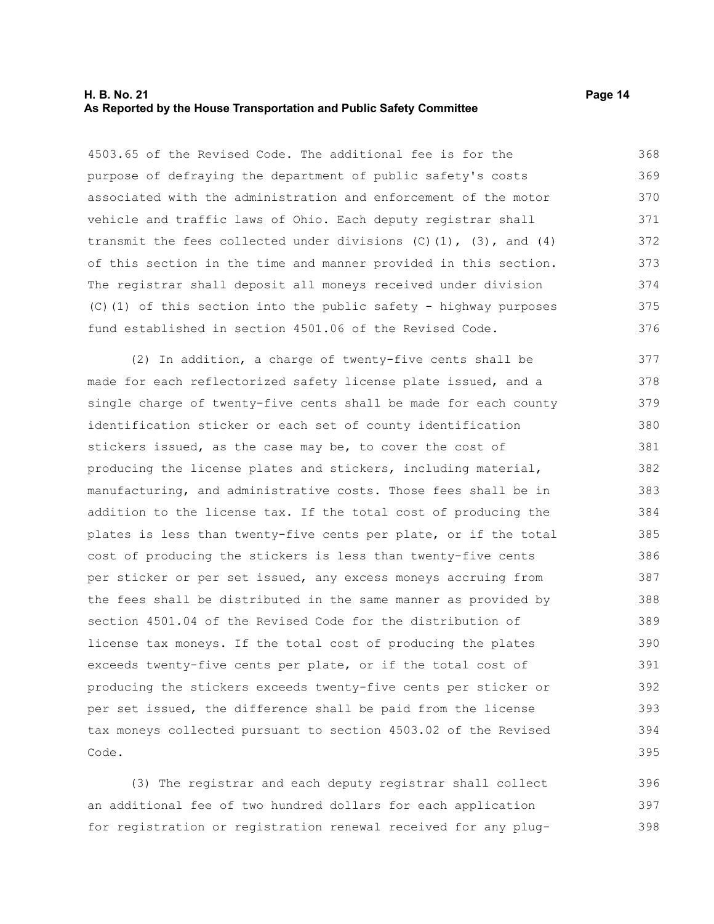#### **H. B. No. 21 Page 14 As Reported by the House Transportation and Public Safety Committee**

4503.65 of the Revised Code. The additional fee is for the purpose of defraying the department of public safety's costs associated with the administration and enforcement of the motor vehicle and traffic laws of Ohio. Each deputy registrar shall transmit the fees collected under divisions  $(C)$   $(1)$ ,  $(3)$ , and  $(4)$ of this section in the time and manner provided in this section. The registrar shall deposit all moneys received under division (C)(1) of this section into the public safety - highway purposes fund established in section 4501.06 of the Revised Code. 368 369 370 371 372 373 374 375 376

(2) In addition, a charge of twenty-five cents shall be made for each reflectorized safety license plate issued, and a single charge of twenty-five cents shall be made for each county identification sticker or each set of county identification stickers issued, as the case may be, to cover the cost of producing the license plates and stickers, including material, manufacturing, and administrative costs. Those fees shall be in addition to the license tax. If the total cost of producing the plates is less than twenty-five cents per plate, or if the total cost of producing the stickers is less than twenty-five cents per sticker or per set issued, any excess moneys accruing from the fees shall be distributed in the same manner as provided by section 4501.04 of the Revised Code for the distribution of license tax moneys. If the total cost of producing the plates exceeds twenty-five cents per plate, or if the total cost of producing the stickers exceeds twenty-five cents per sticker or per set issued, the difference shall be paid from the license tax moneys collected pursuant to section 4503.02 of the Revised Code. 377 378 379 380 381 382 383 384 385 386 387 388 389 390 391 392 393 394 395

(3) The registrar and each deputy registrar shall collect an additional fee of two hundred dollars for each application for registration or registration renewal received for any plug-396 397 398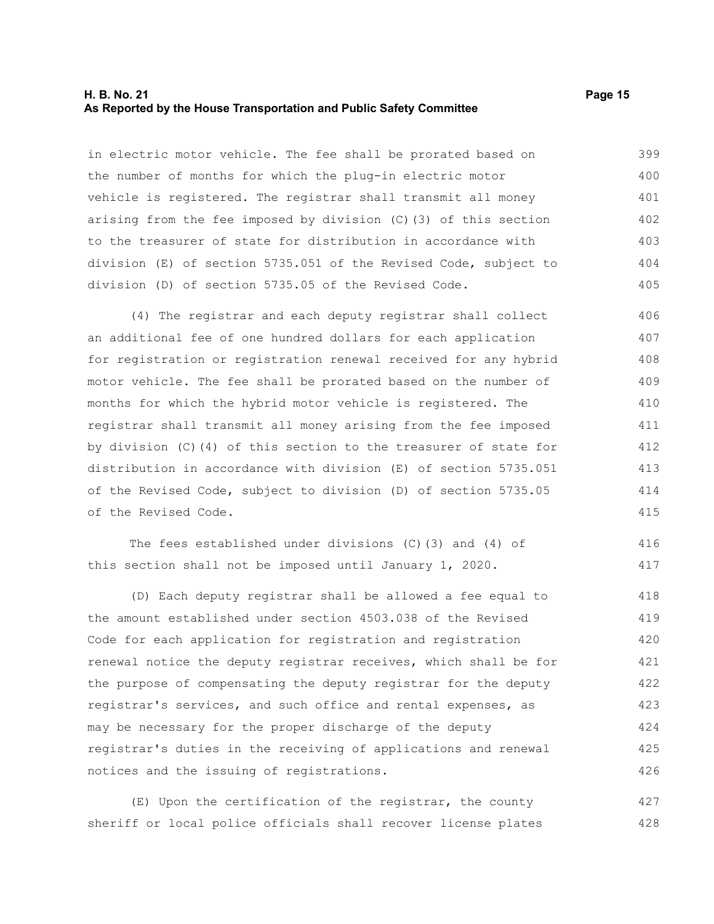#### **H. B. No. 21 Page 15 As Reported by the House Transportation and Public Safety Committee**

in electric motor vehicle. The fee shall be prorated based on the number of months for which the plug-in electric motor vehicle is registered. The registrar shall transmit all money arising from the fee imposed by division (C)(3) of this section to the treasurer of state for distribution in accordance with division (E) of section 5735.051 of the Revised Code, subject to division (D) of section 5735.05 of the Revised Code. 399 400 401 402 403 404 405

(4) The registrar and each deputy registrar shall collect an additional fee of one hundred dollars for each application for registration or registration renewal received for any hybrid motor vehicle. The fee shall be prorated based on the number of months for which the hybrid motor vehicle is registered. The registrar shall transmit all money arising from the fee imposed by division (C)(4) of this section to the treasurer of state for distribution in accordance with division (E) of section 5735.051 of the Revised Code, subject to division (D) of section 5735.05 of the Revised Code. 406 407 408 409 410 411 412 413 414 415

The fees established under divisions (C)(3) and (4) of this section shall not be imposed until January 1, 2020. 416 417

(D) Each deputy registrar shall be allowed a fee equal to the amount established under section 4503.038 of the Revised Code for each application for registration and registration renewal notice the deputy registrar receives, which shall be for the purpose of compensating the deputy registrar for the deputy registrar's services, and such office and rental expenses, as may be necessary for the proper discharge of the deputy registrar's duties in the receiving of applications and renewal notices and the issuing of registrations. 418 419 420 421 422 423 424 425 426

(E) Upon the certification of the registrar, the county sheriff or local police officials shall recover license plates 427 428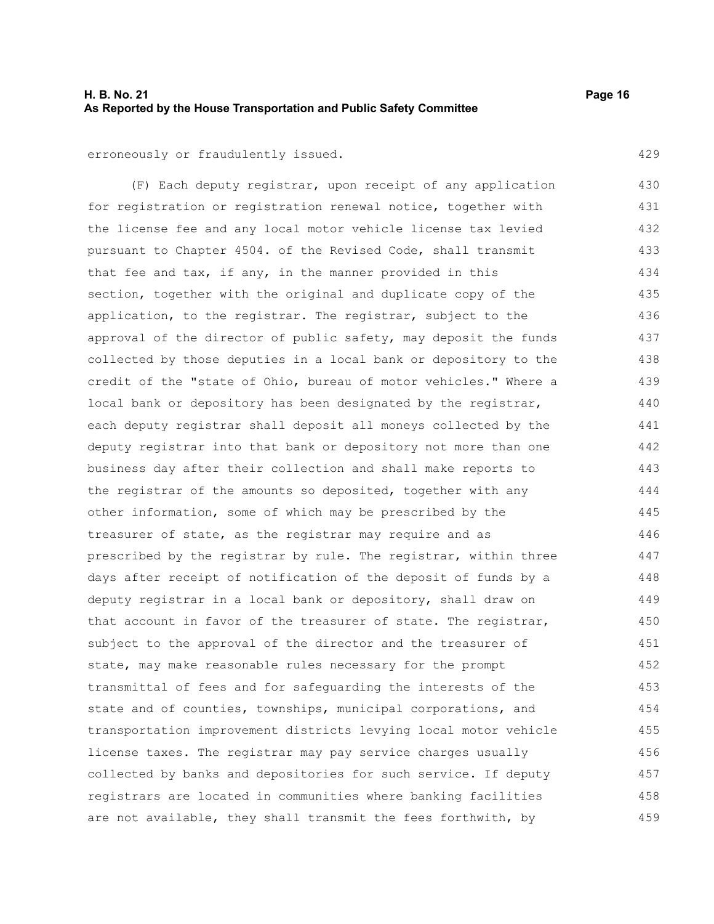#### **H. B. No. 21 Page 16 As Reported by the House Transportation and Public Safety Committee**

erroneously or fraudulently issued.

(F) Each deputy registrar, upon receipt of any application for registration or registration renewal notice, together with the license fee and any local motor vehicle license tax levied pursuant to Chapter 4504. of the Revised Code, shall transmit that fee and tax, if any, in the manner provided in this section, together with the original and duplicate copy of the application, to the registrar. The registrar, subject to the approval of the director of public safety, may deposit the funds collected by those deputies in a local bank or depository to the credit of the "state of Ohio, bureau of motor vehicles." Where a local bank or depository has been designated by the registrar, each deputy registrar shall deposit all moneys collected by the deputy registrar into that bank or depository not more than one business day after their collection and shall make reports to the registrar of the amounts so deposited, together with any other information, some of which may be prescribed by the treasurer of state, as the registrar may require and as prescribed by the registrar by rule. The registrar, within three days after receipt of notification of the deposit of funds by a deputy registrar in a local bank or depository, shall draw on that account in favor of the treasurer of state. The registrar, subject to the approval of the director and the treasurer of state, may make reasonable rules necessary for the prompt transmittal of fees and for safeguarding the interests of the state and of counties, townships, municipal corporations, and transportation improvement districts levying local motor vehicle license taxes. The registrar may pay service charges usually collected by banks and depositories for such service. If deputy registrars are located in communities where banking facilities are not available, they shall transmit the fees forthwith, by 430 431 432 433 434 435 436 437 438 439 440 441 442 443 444 445 446 447 448 449 450 451 452 453 454 455 456 457 458 459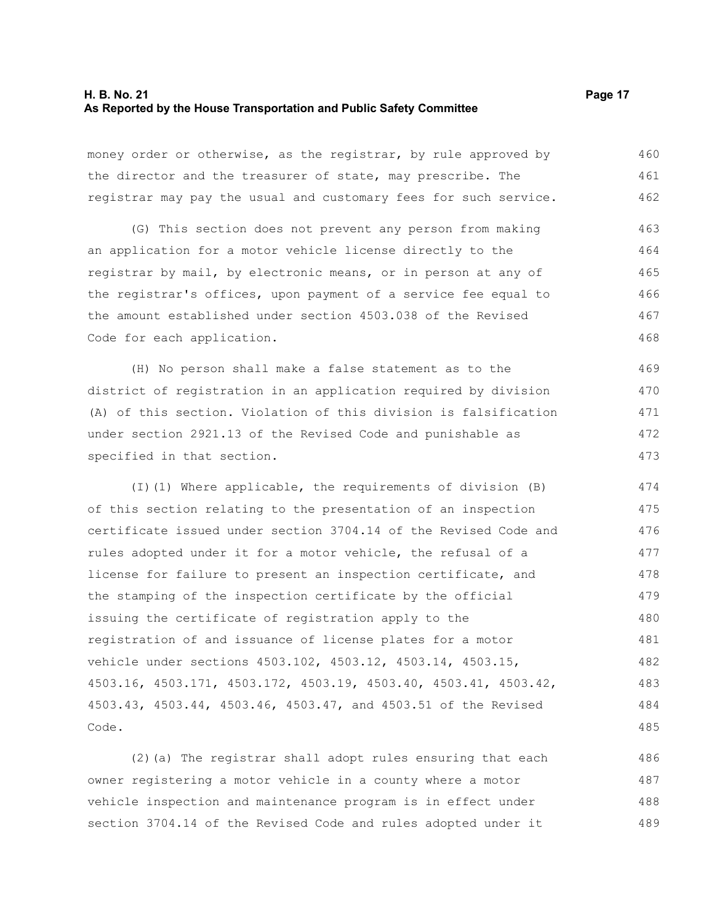#### **H. B. No. 21 Page 17 As Reported by the House Transportation and Public Safety Committee**

money order or otherwise, as the registrar, by rule approved by the director and the treasurer of state, may prescribe. The registrar may pay the usual and customary fees for such service. 460 461 462

(G) This section does not prevent any person from making an application for a motor vehicle license directly to the registrar by mail, by electronic means, or in person at any of the registrar's offices, upon payment of a service fee equal to the amount established under section 4503.038 of the Revised Code for each application. 463 464 465 466 467 468

(H) No person shall make a false statement as to the district of registration in an application required by division (A) of this section. Violation of this division is falsification under section 2921.13 of the Revised Code and punishable as specified in that section. 469 470 471 472 473

(I)(1) Where applicable, the requirements of division (B) of this section relating to the presentation of an inspection certificate issued under section 3704.14 of the Revised Code and rules adopted under it for a motor vehicle, the refusal of a license for failure to present an inspection certificate, and the stamping of the inspection certificate by the official issuing the certificate of registration apply to the registration of and issuance of license plates for a motor vehicle under sections 4503.102, 4503.12, 4503.14, 4503.15, 4503.16, 4503.171, 4503.172, 4503.19, 4503.40, 4503.41, 4503.42, 4503.43, 4503.44, 4503.46, 4503.47, and 4503.51 of the Revised Code. 474 475 476 477 478 479 480 481 482 483 484 485

(2)(a) The registrar shall adopt rules ensuring that each owner registering a motor vehicle in a county where a motor vehicle inspection and maintenance program is in effect under section 3704.14 of the Revised Code and rules adopted under it 486 487 488 489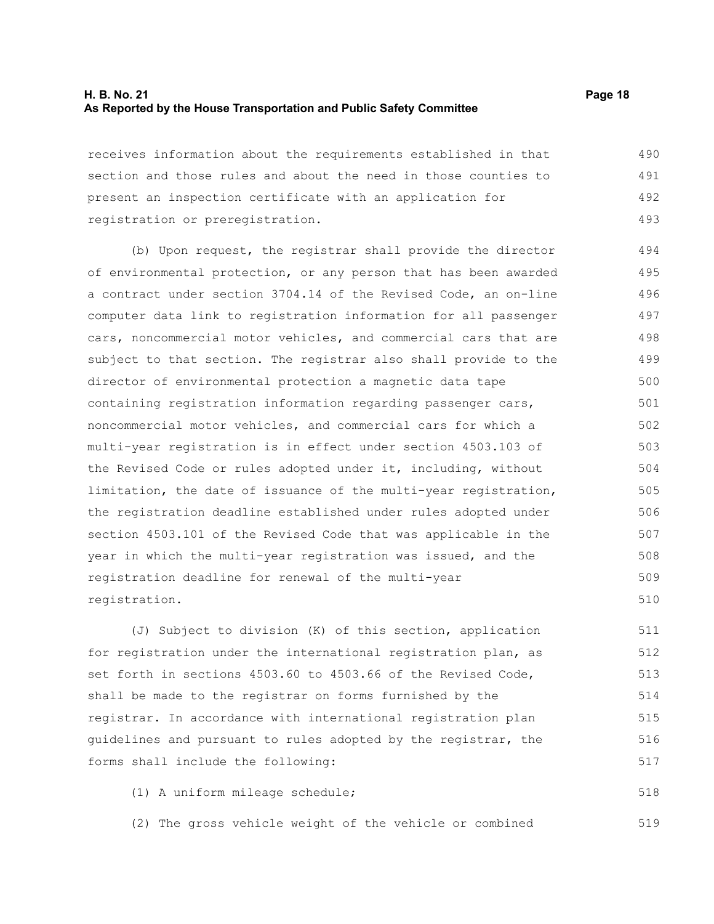### **H. B. No. 21 Page 18 As Reported by the House Transportation and Public Safety Committee**

receives information about the requirements established in that section and those rules and about the need in those counties to present an inspection certificate with an application for registration or preregistration. 490 491 492 493

(b) Upon request, the registrar shall provide the director of environmental protection, or any person that has been awarded a contract under section 3704.14 of the Revised Code, an on-line computer data link to registration information for all passenger cars, noncommercial motor vehicles, and commercial cars that are subject to that section. The registrar also shall provide to the director of environmental protection a magnetic data tape containing registration information regarding passenger cars, noncommercial motor vehicles, and commercial cars for which a multi-year registration is in effect under section 4503.103 of the Revised Code or rules adopted under it, including, without limitation, the date of issuance of the multi-year registration, the registration deadline established under rules adopted under section 4503.101 of the Revised Code that was applicable in the year in which the multi-year registration was issued, and the registration deadline for renewal of the multi-year registration. 494 495 496 497 498 499 500 501 502 503 504 505 506 507 508 509 510

(J) Subject to division (K) of this section, application for registration under the international registration plan, as set forth in sections 4503.60 to 4503.66 of the Revised Code, shall be made to the registrar on forms furnished by the registrar. In accordance with international registration plan guidelines and pursuant to rules adopted by the registrar, the forms shall include the following: 511 512 513 514 515 516 517

(1) A uniform mileage schedule;

(2) The gross vehicle weight of the vehicle or combined 519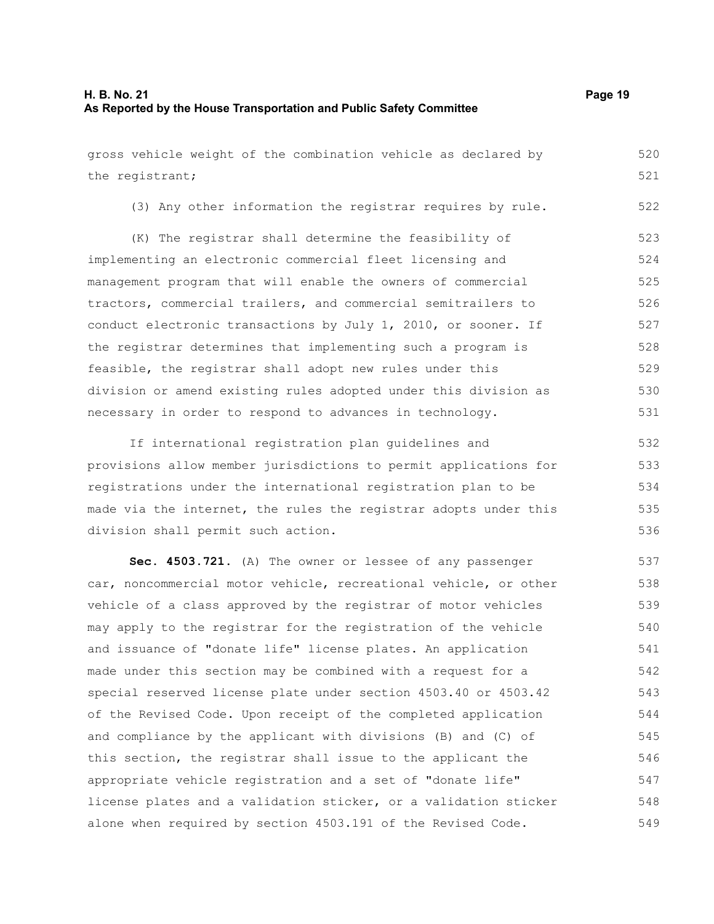gross vehicle weight of the combination vehicle as declared by the registrant; 520 521

(3) Any other information the registrar requires by rule. 522

(K) The registrar shall determine the feasibility of implementing an electronic commercial fleet licensing and management program that will enable the owners of commercial tractors, commercial trailers, and commercial semitrailers to conduct electronic transactions by July 1, 2010, or sooner. If the registrar determines that implementing such a program is feasible, the registrar shall adopt new rules under this division or amend existing rules adopted under this division as necessary in order to respond to advances in technology. 523 524 525 526 527 528 529 530 531

If international registration plan guidelines and provisions allow member jurisdictions to permit applications for registrations under the international registration plan to be made via the internet, the rules the registrar adopts under this division shall permit such action. 532 533 534 535 536

**Sec. 4503.721.** (A) The owner or lessee of any passenger car, noncommercial motor vehicle, recreational vehicle, or other vehicle of a class approved by the registrar of motor vehicles may apply to the registrar for the registration of the vehicle and issuance of "donate life" license plates. An application made under this section may be combined with a request for a special reserved license plate under section 4503.40 or 4503.42 of the Revised Code. Upon receipt of the completed application and compliance by the applicant with divisions (B) and (C) of this section, the registrar shall issue to the applicant the appropriate vehicle registration and a set of "donate life" license plates and a validation sticker, or a validation sticker alone when required by section 4503.191 of the Revised Code. 537 538 539 540 541 542 543 544 545 546 547 548 549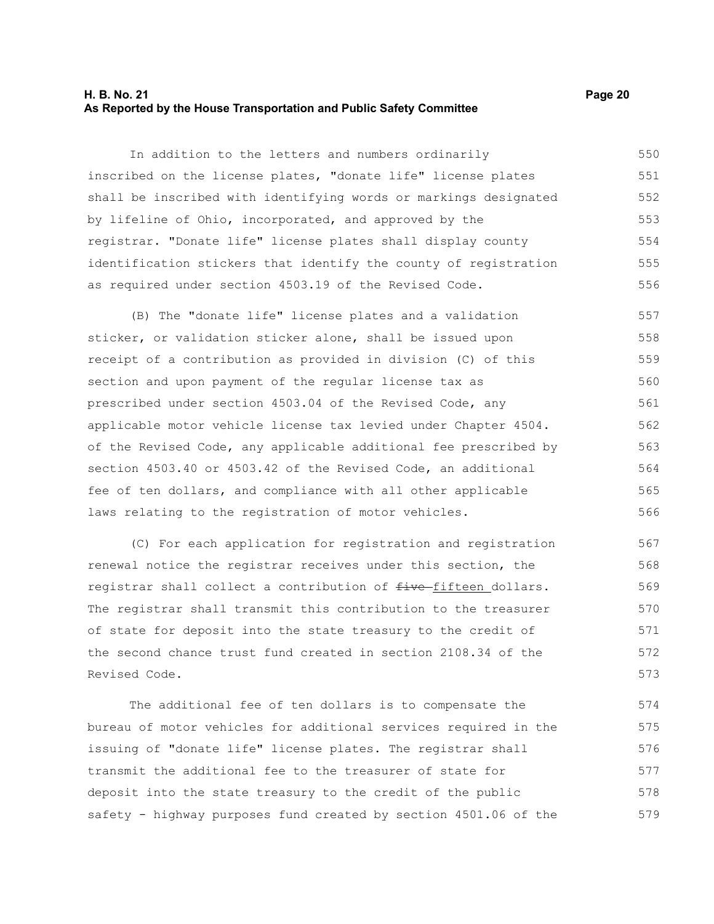#### **H. B. No. 21 Page 20 As Reported by the House Transportation and Public Safety Committee**

In addition to the letters and numbers ordinarily inscribed on the license plates, "donate life" license plates shall be inscribed with identifying words or markings designated by lifeline of Ohio, incorporated, and approved by the registrar. "Donate life" license plates shall display county identification stickers that identify the county of registration as required under section 4503.19 of the Revised Code. 550 551 552 553 554 555 556

(B) The "donate life" license plates and a validation sticker, or validation sticker alone, shall be issued upon receipt of a contribution as provided in division (C) of this section and upon payment of the regular license tax as prescribed under section 4503.04 of the Revised Code, any applicable motor vehicle license tax levied under Chapter 4504. of the Revised Code, any applicable additional fee prescribed by section 4503.40 or 4503.42 of the Revised Code, an additional fee of ten dollars, and compliance with all other applicable laws relating to the registration of motor vehicles. 557 558 559 560 561 562 563 564 565 566

(C) For each application for registration and registration renewal notice the registrar receives under this section, the registrar shall collect a contribution of  $f$ ive-fifteen dollars. The registrar shall transmit this contribution to the treasurer of state for deposit into the state treasury to the credit of the second chance trust fund created in section 2108.34 of the Revised Code. 567 568 569 570 571 572 573

The additional fee of ten dollars is to compensate the bureau of motor vehicles for additional services required in the issuing of "donate life" license plates. The registrar shall transmit the additional fee to the treasurer of state for deposit into the state treasury to the credit of the public safety - highway purposes fund created by section 4501.06 of the 574 575 576 577 578 579